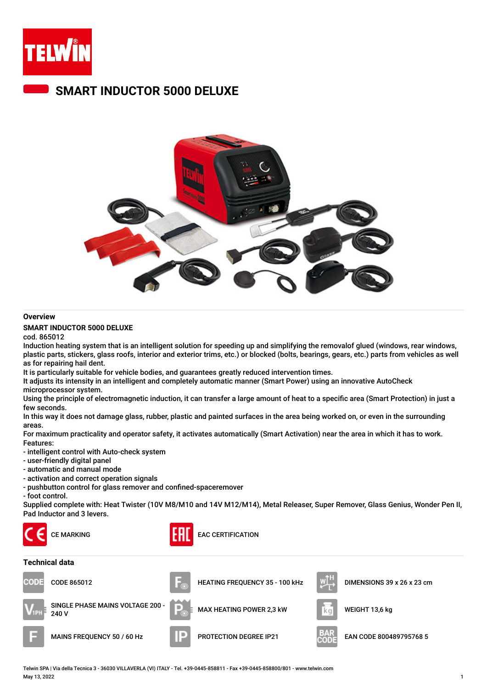

## **SMART INDUCTOR 5000 DELUXE**



#### **Overview**

### **SMART INDUCTOR 5000 DELUXE**

cod. 865012

Induction heating system that is an intelligent solution for speeding up and simplifying the removalof glued (windows, rear windows, plastic parts, stickers, glass roofs, interior and exterior trims, etc.) or blocked (bolts, bearings, gears, etc.) parts from vehicles as well as for repairing hail dent.

It is particularly suitable for vehicle bodies, and guarantees greatly reduced intervention times.

It adjusts its intensity in an intelligent and completely automatic manner (Smart Power) using an innovative AutoCheck microprocessor system.

Using the principle of electromagnetic induction, it can transfer a large amount of heat to a specific area (Smart Protection) in just a few seconds.

In this way it does not damage glass, rubber, plastic and painted surfaces in the area being worked on, or even in the surrounding areas.

For maximum practicality and operator safety, it activates automatically (Smart Activation) near the area in which it has to work. Features:

- intelligent control with Auto-check system

- user-friendly digital panel
- automatic and manual mode
- activation and correct operation signals

- pushbutton control for glass remover and confined-spaceremover

- foot control.

Supplied complete with: Heat Twister (10V M8/M10 and 14V M12/M14), Metal Releaser, Super Remover, Glass Genius, Wonder Pen II, Pad Inductor and 3 levers.





## **Technical data**









SINGLE PHASE MAINS VOLTAGE 200 -<br>240 V



MAX HEATING POWER 2,3 kW WEIGHT 13,6 kg





MAINS FREQUENCY 50 / 60 Hz PROTECTION DEGREE IP21 FAINS FREQUENCY 50 / 60 Hz





Telwin SPA | Via della Tecnica 3 - 36030 VILLAVERLA (VI) ITALY - Tel. +39-0445-858811 - Fax +39-0445-858800/801 - www.telwin.com May 13, 2022 1